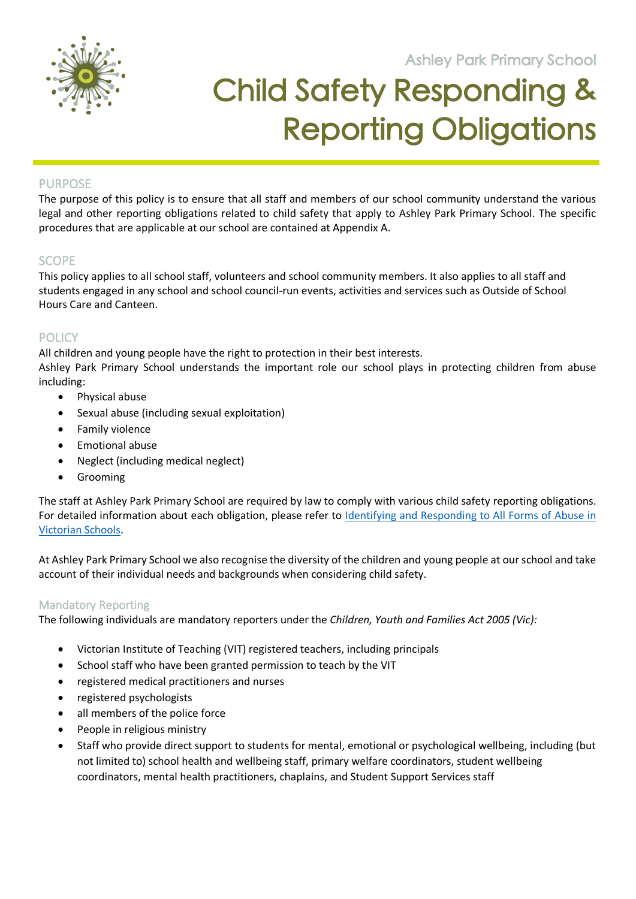**Ashley Park Primary School** 



# Child Safety Responding & Reporting Obligations

**105 Orchard Road Doreen 3754**

## **PURPOSE**

The purpose of this policy is to ensure that all staff and members of our school community understand the various legal and other reporting obligations related to child safety that apply to Ashley Park Primary School. The specific procedures that are applicable at our school are contained at Appendix A.

## **SCOPE**

This policy applies to all school staff, volunteers and school community members. It also applies to all staff and students engaged in any school and school council-run events, activities and services such as Outside of School Hours Care and Canteen.

## **POLICY**

All children and young people have the right to protection in their best interests. Ashley Park Primary School understands the important role our school plays in protecting children from abuse including:

- Physical abuse
- Sexual abuse (including sexual exploitation)
- Family violence
- Emotional abuse
- Neglect (including medical neglect)
- Grooming

The staff at Ashley Park Primary School are required by law to comply with various child safety reporting obligations. For detailed information about each obligation, please refer to Identifying and Responding to All Forms of Abuse in Victorian Schools.

At Ashley Park Primary School we also recognise the diversity of the children and young people at our school and take account of their individual needs and backgrounds when considering child safety.

### Mandatory Reporting

The following individuals are mandatory reporters under the *Children, Youth and Families Act 2005 (Vic):*

- Victorian Institute of Teaching (VIT) registered teachers, including principals
- School staff who have been granted permission to teach by the VIT
- registered medical practitioners and nurses
- registered psychologists
- all members of the police force
- People in religious ministry
- Staff who provide direct support to students for mental, emotional or psychological wellbeing, including (but not limited to) school health and wellbeing staff, primary welfare coordinators, student wellbeing coordinators, mental health practitioners, chaplains, and Student Support Services staff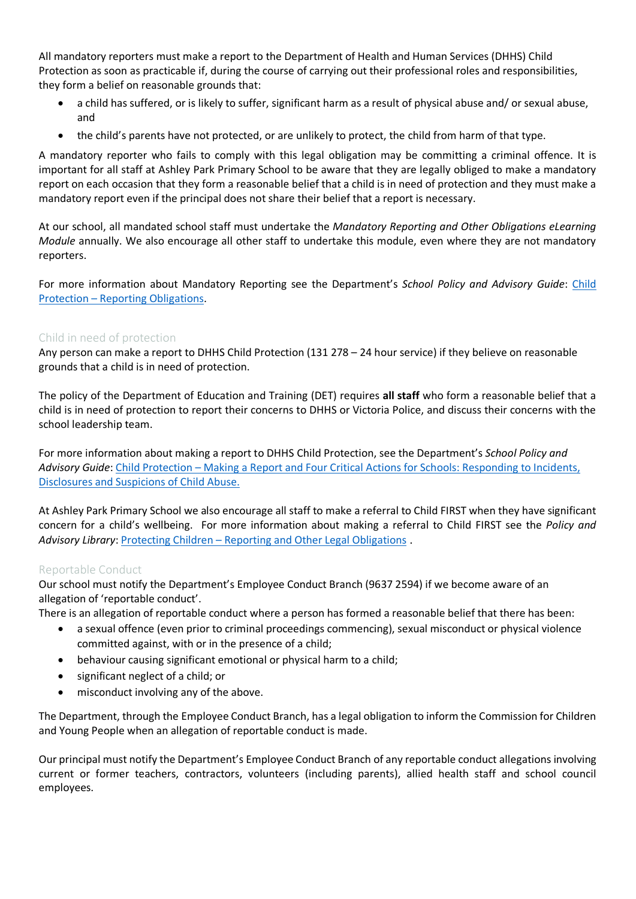All mandatory reporters must make a report to the Department of Health and Human Services (DHHS) Child Protection as soon as practicable if, during the course of carrying out their professional roles and responsibilities, they form a belief on reasonable grounds that:

- a child has suffered, or is likely to suffer, significant harm as a result of physical abuse and/ or sexual abuse, and
- the child's parents have not protected, or are unlikely to protect, the child from harm of that type.

A mandatory reporter who fails to comply with this legal obligation may be committing a criminal offence. It is important for all staff at Ashley Park Primary School to be aware that they are legally obliged to make a mandatory report on each occasion that they form a reasonable belief that a child is in need of protection and they must make a mandatory report even if the principal does not share their belief that a report is necessary.

At our school, all mandated school staff must undertake the *Mandatory Reporting and Other Obligations eLearning Module* annually. We also encourage all other staff to undertake this module, even where they are not mandatory reporters.

For more information about Mandatory Reporting see the Department's *School Policy and Advisory Guide*: Child Protection – Reporting Obligations.

## Child in need of protection

Any person can make a report to DHHS Child Protection (131 278 – 24 hour service) if they believe on reasonable grounds that a child is in need of protection.

The policy of the Department of Education and Training (DET) requires **all staff** who form a reasonable belief that a child is in need of protection to report their concerns to DHHS or Victoria Police, and discuss their concerns with the school leadership team.

For more information about making a report to DHHS Child Protection, see the Department's *School Policy and Advisory Guide*: Child Protection – Making a Report and Four Critical Actions for Schools: Responding to Incidents, Disclosures and Suspicions of Child Abuse.

At Ashley Park Primary School we also encourage all staff to make a referral to Child FIRST when they have significant concern for a child's wellbeing. For more information about making a referral to Child FIRST see the *Policy and*  Advisory Library: Protecting Children – Reporting and Other Legal Obligations.

### Reportable Conduct

Our school must notify the Department's Employee Conduct Branch (9637 2594) if we become aware of an allegation of 'reportable conduct'.

There is an allegation of reportable conduct where a person has formed a reasonable belief that there has been:

- a sexual offence (even prior to criminal proceedings commencing), sexual misconduct or physical violence committed against, with or in the presence of a child;
- behaviour causing significant emotional or physical harm to a child;
- significant neglect of a child; or
- misconduct involving any of the above.

The Department, through the Employee Conduct Branch, has a legal obligation to inform the Commission for Children and Young People when an allegation of reportable conduct is made.

Our principal must notify the Department's Employee Conduct Branch of any reportable conduct allegations involving current or former teachers, contractors, volunteers (including parents), allied health staff and school council employees.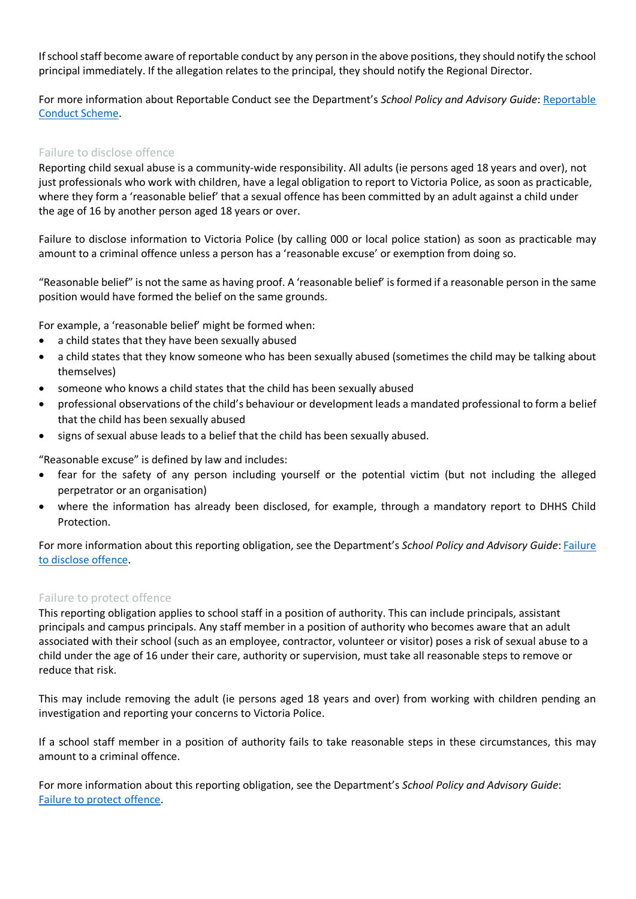If school staff become aware of reportable conduct by any person in the above positions, they should notify the school principal immediately. If the allegation relates to the principal, they should notify the Regional Director.

For more information about Reportable Conduct see the Department's *School Policy and Advisory Guide*: Reportable Conduct Scheme.

#### Failure to disclose offence

Reporting child sexual abuse is a community-wide responsibility. All adults (ie persons aged 18 years and over), not just professionals who work with children, have a legal obligation to report to Victoria Police, as soon as practicable, where they form a 'reasonable belief' that a sexual offence has been committed by an adult against a child under the age of 16 by another person aged 18 years or over.

Failure to disclose information to Victoria Police (by calling 000 or local police station) as soon as practicable may amount to a criminal offence unless a person has a 'reasonable excuse' or exemption from doing so.

"Reasonable belief" is not the same as having proof. A 'reasonable belief' is formed if a reasonable person in the same position would have formed the belief on the same grounds.

For example, a 'reasonable belief' might be formed when:

- a child states that they have been sexually abused
- a child states that they know someone who has been sexually abused (sometimes the child may be talking about themselves)
- someone who knows a child states that the child has been sexually abused
- professional observations of the child's behaviour or development leads a mandated professional to form a belief that the child has been sexually abused
- signs of sexual abuse leads to a belief that the child has been sexually abused.

"Reasonable excuse" is defined by law and includes:

- fear for the safety of any person including yourself or the potential victim (but not including the alleged perpetrator or an organisation)
- where the information has already been disclosed, for example, through a mandatory report to DHHS Child Protection.

For more information about this reporting obligation, see the Department's *School Policy and Advisory Guide*: Failure to disclose offence.

#### Failure to protect offence

This reporting obligation applies to school staff in a position of authority. This can include principals, assistant principals and campus principals. Any staff member in a position of authority who becomes aware that an adult associated with their school (such as an employee, contractor, volunteer or visitor) poses a risk of sexual abuse to a child under the age of 16 under their care, authority or supervision, must take all reasonable steps to remove or reduce that risk.

This may include removing the adult (ie persons aged 18 years and over) from working with children pending an investigation and reporting your concerns to Victoria Police.

If a school staff member in a position of authority fails to take reasonable steps in these circumstances, this may amount to a criminal offence.

For more information about this reporting obligation, see the Department's *School Policy and Advisory Guide*: Failure to protect offence.